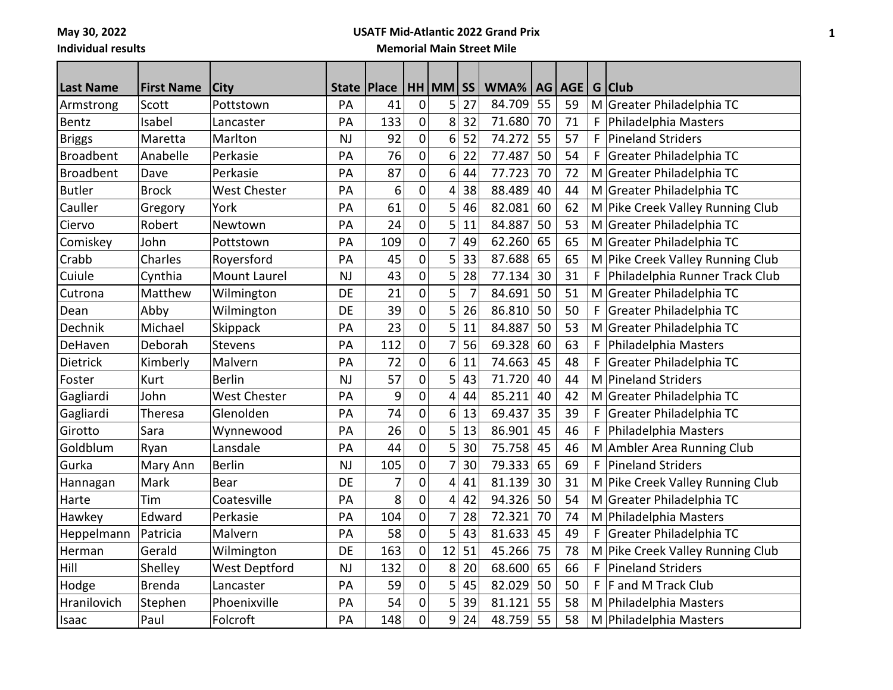**May 30, 2022 Individual results**

# **USATF Mid-Atlantic 2022 Grand Prix**

#### **Memorial Main Street Mile**

| <b>Last Name</b> | <b>First Name</b> | <b>City</b>          | <b>State</b> | <b>Place</b> |                | $HH$ MM $\overline{SS}$ |                | WMA%   | AG | AGE   G   Club |   |                                  |
|------------------|-------------------|----------------------|--------------|--------------|----------------|-------------------------|----------------|--------|----|----------------|---|----------------------------------|
| Armstrong        | Scott             | Pottstown            | PA           | 41           | $\mathbf 0$    | 5                       | 27             | 84.709 | 55 | 59             |   | M Greater Philadelphia TC        |
| Bentz            | Isabel            | Lancaster            | PA           | 133          | 0              | 8                       | 32             | 71.680 | 70 | 71             | F | Philadelphia Masters             |
| <b>Briggs</b>    | Maretta           | Marlton              | <b>NJ</b>    | 92           | $\mathbf 0$    | 6                       | 52             | 74.272 | 55 | 57             | F | <b>Pineland Striders</b>         |
| <b>Broadbent</b> | Anabelle          | Perkasie             | PA           | 76           | 0              | 6                       | 22             | 77.487 | 50 | 54             | F | Greater Philadelphia TC          |
| <b>Broadbent</b> | Dave              | Perkasie             | PA           | 87           | $\mathbf 0$    | 6                       | 44             | 77.723 | 70 | 72             |   | M Greater Philadelphia TC        |
| <b>Butler</b>    | <b>Brock</b>      | <b>West Chester</b>  | PA           | 6            | $\mathbf 0$    | 4                       | 38             | 88.489 | 40 | 44             |   | M Greater Philadelphia TC        |
| Cauller          | Gregory           | York                 | PA           | 61           | 0              | 5                       | 46             | 82.081 | 60 | 62             |   | M Pike Creek Valley Running Club |
| Ciervo           | Robert            | Newtown              | PA           | 24           | 0              | 5                       | 11             | 84.887 | 50 | 53             |   | M Greater Philadelphia TC        |
| Comiskey         | John              | Pottstown            | PA           | 109          | $\mathbf 0$    | $\overline{7}$          | 49             | 62.260 | 65 | 65             |   | M Greater Philadelphia TC        |
| Crabb            | Charles           | Royersford           | PA           | 45           | $\mathbf 0$    | 5                       | 33             | 87.688 | 65 | 65             |   | M Pike Creek Valley Running Club |
| Cuiule           | Cynthia           | Mount Laurel         | <b>NJ</b>    | 43           | 0              | 5                       | 28             | 77.134 | 30 | 31             | F | Philadelphia Runner Track Club   |
| Cutrona          | Matthew           | Wilmington           | <b>DE</b>    | 21           | 0              | 5                       | $\overline{7}$ | 84.691 | 50 | 51             |   | M Greater Philadelphia TC        |
| Dean             | Abby              | Wilmington           | DE           | 39           | $\mathbf 0$    | 5                       | 26             | 86.810 | 50 | 50             | F | Greater Philadelphia TC          |
| Dechnik          | Michael           | Skippack             | PA           | 23           | $\mathbf 0$    | 5                       | 11             | 84.887 | 50 | 53             |   | M Greater Philadelphia TC        |
| DeHaven          | Deborah           | Stevens              | PA           | 112          | 0              | 7                       | 56             | 69.328 | 60 | 63             | F | Philadelphia Masters             |
| Dietrick         | Kimberly          | Malvern              | PA           | 72           | $\overline{0}$ | 6                       | 11             | 74.663 | 45 | 48             | F | Greater Philadelphia TC          |
| Foster           | Kurt              | <b>Berlin</b>        | <b>NJ</b>    | 57           | 0              | 5                       | 43             | 71.720 | 40 | 44             |   | M Pineland Striders              |
| Gagliardi        | John              | West Chester         | PA           | 9            | $\mathbf 0$    | 4                       | 44             | 85.211 | 40 | 42             |   | M Greater Philadelphia TC        |
| Gagliardi        | Theresa           | Glenolden            | PA           | 74           | 0              | 6                       | 13             | 69.437 | 35 | 39             | F | Greater Philadelphia TC          |
| Girotto          | Sara              | Wynnewood            | PA           | 26           | $\mathbf 0$    | 5                       | 13             | 86.901 | 45 | 46             | F | Philadelphia Masters             |
| Goldblum         | Ryan              | Lansdale             | PA           | 44           | 0              | 5                       | 30             | 75.758 | 45 | 46             |   | M Ambler Area Running Club       |
| Gurka            | Mary Ann          | <b>Berlin</b>        | <b>NJ</b>    | 105          | 0              | 7                       | 30             | 79.333 | 65 | 69             | F | <b>Pineland Striders</b>         |
| Hannagan         | Mark              | <b>Bear</b>          | DE           | 7            | $\mathbf 0$    | 4                       | 41             | 81.139 | 30 | 31             |   | M Pike Creek Valley Running Club |
| Harte            | Tim               | Coatesville          | PA           | 8            | $\mathbf 0$    | 4                       | 42             | 94.326 | 50 | 54             |   | M Greater Philadelphia TC        |
| Hawkey           | Edward            | Perkasie             | PA           | 104          | $\mathbf 0$    | $\overline{7}$          | 28             | 72.321 | 70 | 74             |   | M Philadelphia Masters           |
| Heppelmann       | Patricia          | Malvern              | PA           | 58           | 0              | 5                       | 43             | 81.633 | 45 | 49             | F | Greater Philadelphia TC          |
| Herman           | Gerald            | Wilmington           | DE           | 163          | 0              | 12                      | 51             | 45.266 | 75 | 78             |   | M Pike Creek Valley Running Club |
| Hill             | Shelley           | <b>West Deptford</b> | <b>NJ</b>    | 132          | $\mathbf 0$    | 8                       | 20             | 68.600 | 65 | 66             | F | <b>Pineland Striders</b>         |
| Hodge            | <b>Brenda</b>     | Lancaster            | PA           | 59           | 0              | 5                       | 45             | 82.029 | 50 | 50             | F | <b>F</b> and M Track Club        |
| Hranilovich      | Stephen           | Phoenixville         | PA           | 54           | 0              | 5                       | 39             | 81.121 | 55 | 58             |   | M Philadelphia Masters           |
| Isaac            | Paul              | Folcroft             | PA           | 148          | $\overline{0}$ | 9                       | 24             | 48.759 | 55 | 58             |   | M Philadelphia Masters           |